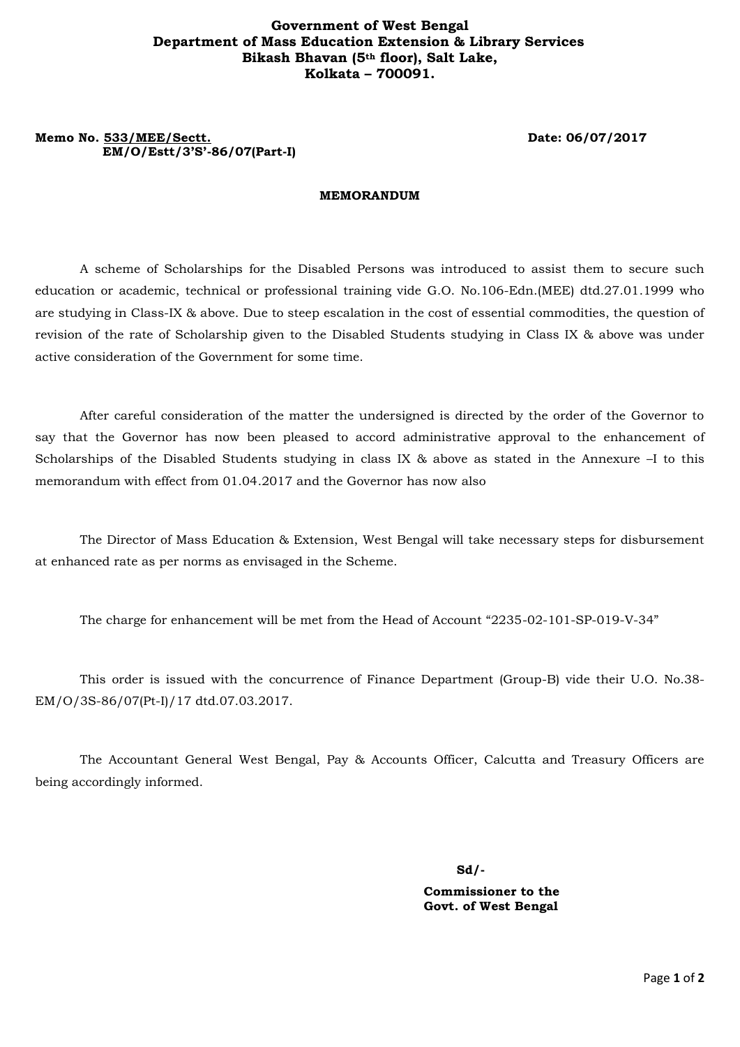### **Government of West Bengal Department of Mass Education Extension & Library Services Bikash Bhavan (5th floor), Salt Lake, Kolkata – 700091.**

## **Memo No. 533/MEE/Sectt. Date: 06/07/2017 EM/O/Estt/3'S'-86/07(Part-I)**

#### **MEMORANDUM**

A scheme of Scholarships for the Disabled Persons was introduced to assist them to secure such education or academic, technical or professional training vide G.O. No.106-Edn.(MEE) dtd.27.01.1999 who are studying in Class-IX & above. Due to steep escalation in the cost of essential commodities, the question of revision of the rate of Scholarship given to the Disabled Students studying in Class IX & above was under active consideration of the Government for some time.

After careful consideration of the matter the undersigned is directed by the order of the Governor to say that the Governor has now been pleased to accord administrative approval to the enhancement of Scholarships of the Disabled Students studying in class IX & above as stated in the Annexure –I to this memorandum with effect from 01.04.2017 and the Governor has now also

The Director of Mass Education & Extension, West Bengal will take necessary steps for disbursement at enhanced rate as per norms as envisaged in the Scheme.

The charge for enhancement will be met from the Head of Account "2235-02-101-SP-019-V-34"

This order is issued with the concurrence of Finance Department (Group-B) vide their U.O. No.38- EM/O/3S-86/07(Pt-I)/17 dtd.07.03.2017.

The Accountant General West Bengal, Pay & Accounts Officer, Calcutta and Treasury Officers are being accordingly informed.

**Sd/-**

 **Commissioner to the Govt. of West Bengal**